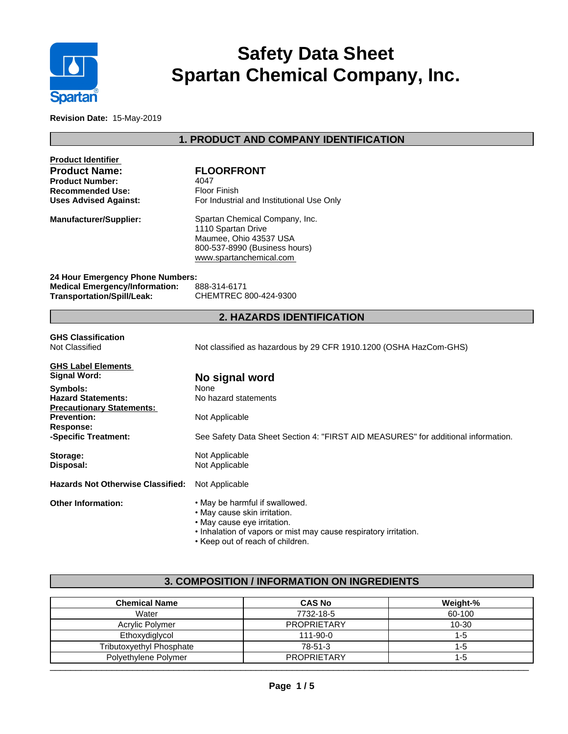

# **Safety Data Sheet Spartan Chemical Company, Inc.**

**Revision Date:** 15-May-2019

# **1. PRODUCT AND COMPANY IDENTIFICATION**

| <b>Product Identifier</b><br><b>Product Name:</b><br><b>Product Number:</b><br><b>Recommended Use:</b><br><b>Uses Advised Against:</b> | <b>FLOORFRONT</b><br>4047<br><b>Floor Finish</b><br>For Industrial and Institutional Use Only                                                                                                        |  |
|----------------------------------------------------------------------------------------------------------------------------------------|------------------------------------------------------------------------------------------------------------------------------------------------------------------------------------------------------|--|
| <b>Manufacturer/Supplier:</b>                                                                                                          | Spartan Chemical Company, Inc.<br>1110 Spartan Drive<br>Maumee, Ohio 43537 USA<br>800-537-8990 (Business hours)<br>www.spartanchemical.com                                                           |  |
| 24 Hour Emergency Phone Numbers:<br><b>Medical Emergency/Information:</b><br><b>Transportation/Spill/Leak:</b>                         | 888-314-6171<br>CHEMTREC 800-424-9300                                                                                                                                                                |  |
|                                                                                                                                        | <b>2. HAZARDS IDENTIFICATION</b>                                                                                                                                                                     |  |
| <b>GHS Classification</b><br><b>Not Classified</b>                                                                                     | Not classified as hazardous by 29 CFR 1910.1200 (OSHA HazCom-GHS)                                                                                                                                    |  |
| <b>GHS Label Elements</b><br><b>Signal Word:</b>                                                                                       | No signal word                                                                                                                                                                                       |  |
| Symbols:<br><b>Hazard Statements:</b>                                                                                                  | None<br>No hazard statements                                                                                                                                                                         |  |
| <b>Precautionary Statements:</b><br><b>Prevention:</b><br>Response:                                                                    | Not Applicable                                                                                                                                                                                       |  |
| -Specific Treatment:                                                                                                                   | See Safety Data Sheet Section 4: "FIRST AID MEASURES" for additional information.                                                                                                                    |  |
| Storage:<br>Disposal:                                                                                                                  | Not Applicable<br>Not Applicable                                                                                                                                                                     |  |
| <b>Hazards Not Otherwise Classified:</b>                                                                                               | Not Applicable                                                                                                                                                                                       |  |
| <b>Other Information:</b>                                                                                                              | . May be harmful if swallowed.<br>• May cause skin irritation.<br>• May cause eye irritation.<br>. Inhalation of vapors or mist may cause respiratory irritation.<br>. Koon out of roach of childron |  |

Keep out of reach of children.

# **3. COMPOSITION / INFORMATION ON INGREDIENTS**

| <b>Chemical Name</b>            | <b>CAS No</b>      | Weight-% |
|---------------------------------|--------------------|----------|
| Water                           | 7732-18-5          | 60-100   |
| Acrylic Polymer                 | <b>PROPRIETARY</b> | 10-30    |
| Ethoxydiglycol                  | $111 - 90 - 0$     | -0       |
| <b>Tributoxyethyl Phosphate</b> | 78-51-3            |          |
| Polyethylene Polymer            | <b>PROPRIETARY</b> |          |
|                                 |                    |          |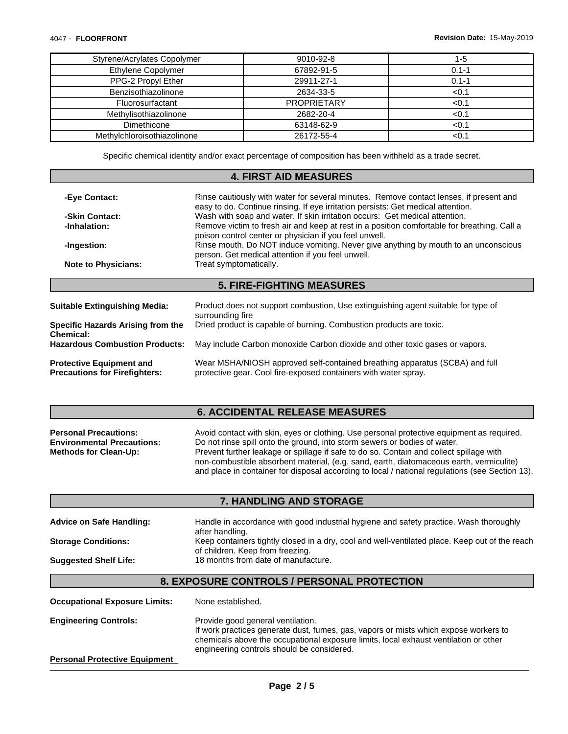ſ

| Styrene/Acrylates Copolymer | 9010-92-8          | -5        |
|-----------------------------|--------------------|-----------|
| Ethylene Copolymer          | 67892-91-5         | $0.1 -$   |
| PPG-2 Propyl Ether          | 29911-27-1         | $0.1 - 1$ |
| Benzisothiazolinone         | 2634-33-5          | <0.       |
| Fluorosurfactant            | <b>PROPRIETARY</b> | <0.       |
| Methylisothiazolinone       | 2682-20-4          | <0∴       |
| Dimethicone                 | 63148-62-9         |           |
| Methylchloroisothiazolinone | 26172-55-4         |           |

Specific chemical identity and/or exact percentage of composition has been withheld as a trade secret.

#### **4. FIRST AID MEASURES**

| -Eye Contact:                                         | Rinse cautiously with water for several minutes. Remove contact lenses, if present and<br>easy to do. Continue rinsing. If eye irritation persists: Get medical attention.<br>Wash with soap and water. If skin irritation occurs: Get medical attention.<br>Remove victim to fresh air and keep at rest in a position comfortable for breathing. Call a<br>poison control center or physician if you feel unwell. |  |
|-------------------------------------------------------|--------------------------------------------------------------------------------------------------------------------------------------------------------------------------------------------------------------------------------------------------------------------------------------------------------------------------------------------------------------------------------------------------------------------|--|
| -Skin Contact:                                        |                                                                                                                                                                                                                                                                                                                                                                                                                    |  |
| -Inhalation:                                          |                                                                                                                                                                                                                                                                                                                                                                                                                    |  |
| -Ingestion:                                           | Rinse mouth. Do NOT induce vomiting. Never give anything by mouth to an unconscious<br>person. Get medical attention if you feel unwell.                                                                                                                                                                                                                                                                           |  |
| <b>Note to Physicians:</b>                            | Treat symptomatically.                                                                                                                                                                                                                                                                                                                                                                                             |  |
|                                                       | <b>5. FIRE-FIGHTING MEASURES</b>                                                                                                                                                                                                                                                                                                                                                                                   |  |
|                                                       |                                                                                                                                                                                                                                                                                                                                                                                                                    |  |
| Suitable Extinguishing Media:                         | Product does not support combustion, Use extinguishing agent suitable for type of<br>surrounding fire                                                                                                                                                                                                                                                                                                              |  |
| <b>Specific Hazards Arising from the</b><br>Chemical: | Dried product is capable of burning. Combustion products are toxic.                                                                                                                                                                                                                                                                                                                                                |  |
| <b>Hazardous Combustion Products:</b>                 | May include Carbon monoxide Carbon dioxide and other toxic gases or vapors.                                                                                                                                                                                                                                                                                                                                        |  |
|                                                       |                                                                                                                                                                                                                                                                                                                                                                                                                    |  |

**Protective Equipment and Precautions for Firefighters:** Wear MSHA/NIOSH approved self-contained breathing apparatus (SCBA) and full protective gear. Cool fire-exposed containers with water spray.

# **6. ACCIDENTAL RELEASE MEASURES**

| <b>Personal Precautions:</b>      | Avoid contact with skin, eyes or clothing. Use personal protective equipment as required.       |
|-----------------------------------|-------------------------------------------------------------------------------------------------|
| <b>Environmental Precautions:</b> | Do not rinse spill onto the ground, into storm sewers or bodies of water.                       |
| <b>Methods for Clean-Up:</b>      | Prevent further leakage or spillage if safe to do so. Contain and collect spillage with         |
|                                   | non-combustible absorbent material, (e.g. sand, earth, diatomaceous earth, vermiculite)         |
|                                   | and place in container for disposal according to local / national regulations (see Section 13). |

## **7. HANDLING AND STORAGE**

| Handle in accordance with good industrial hygiene and safety practice. Wash thoroughly         |
|------------------------------------------------------------------------------------------------|
| after handling.                                                                                |
| Keep containers tightly closed in a dry, cool and well-ventilated place. Keep out of the reach |
| of children. Keep from freezing.                                                               |
| 18 months from date of manufacture.                                                            |
|                                                                                                |

### **8. EXPOSURE CONTROLS / PERSONAL PROTECTION**

| <b>Occupational Exposure Limits:</b> | None established.                                                                                                                                                                                                                                               |
|--------------------------------------|-----------------------------------------------------------------------------------------------------------------------------------------------------------------------------------------------------------------------------------------------------------------|
| <b>Engineering Controls:</b>         | Provide good general ventilation.<br>If work practices generate dust, fumes, gas, vapors or mists which expose workers to<br>chemicals above the occupational exposure limits, local exhaust ventilation or other<br>engineering controls should be considered. |
| <b>Personal Protective Equipment</b> |                                                                                                                                                                                                                                                                 |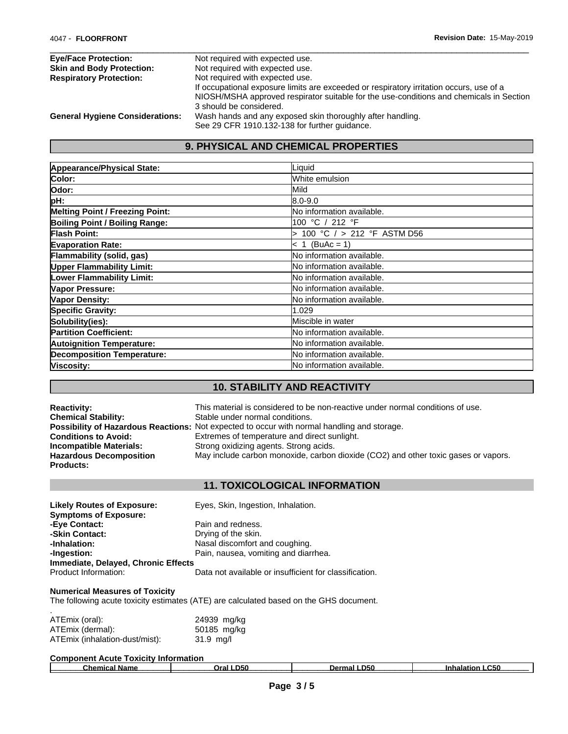| <b>Eye/Face Protection:</b>            | Not required with expected use.                                                                                                                                                                                       |
|----------------------------------------|-----------------------------------------------------------------------------------------------------------------------------------------------------------------------------------------------------------------------|
| <b>Skin and Body Protection:</b>       | Not required with expected use.                                                                                                                                                                                       |
| <b>Respiratory Protection:</b>         | Not required with expected use.<br>If occupational exposure limits are exceeded or respiratory irritation occurs, use of a<br>NIOSH/MSHA approved respirator suitable for the use-conditions and chemicals in Section |
| <b>General Hygiene Considerations:</b> | 3 should be considered.<br>Wash hands and any exposed skin thoroughly after handling.                                                                                                                                 |
|                                        | See 29 CFR 1910.132-138 for further guidance.                                                                                                                                                                         |

# **9. PHYSICAL AND CHEMICAL PROPERTIES**

| Appearance/Physical State:             | Liquid                            |
|----------------------------------------|-----------------------------------|
| Color:                                 | White emulsion                    |
| Odor:                                  | <b>Mild</b>                       |
| pH:                                    | 8.0-9.0                           |
| <b>Melting Point / Freezing Point:</b> | No information available.         |
| Boiling Point / Boiling Range:         | 100 °C / 212 °F                   |
| <b>Flash Point:</b>                    | 100 °C / > 212 °F ASTM D56        |
| <b>Evaporation Rate:</b>               | $ c 1 (BuAc = 1) $                |
| Flammability (solid, gas)              | No information available.         |
| <b>Upper Flammability Limit:</b>       | No information available.         |
| Lower Flammability Limit:              | No information available.         |
| Vapor Pressure:                        | <b>No information available.</b>  |
| <b>Vapor Density:</b>                  | <b>No information available.</b>  |
| <b>Specific Gravity:</b>               | 1.029                             |
| Solubility(ies):                       | Miscible in water                 |
| <b>Partition Coefficient:</b>          | <b>INo information available.</b> |
| <b>Autoignition Temperature:</b>       | No information available.         |
| <b>Decomposition Temperature:</b>      | No information available.         |
| Viscosity:                             | <b>No information available.</b>  |

# **10. STABILITY AND REACTIVITY**

| <b>Reactivity:</b>             | This material is considered to be non-reactive under normal conditions of use.                     |
|--------------------------------|----------------------------------------------------------------------------------------------------|
| <b>Chemical Stability:</b>     | Stable under normal conditions.                                                                    |
|                                | <b>Possibility of Hazardous Reactions:</b> Not expected to occur with normal handling and storage. |
| <b>Conditions to Avoid:</b>    | Extremes of temperature and direct sunlight.                                                       |
| <b>Incompatible Materials:</b> | Strong oxidizing agents. Strong acids.                                                             |
| <b>Hazardous Decomposition</b> | May include carbon monoxide, carbon dioxide (CO2) and other toxic gases or vapors.                 |
| <b>Products:</b>               |                                                                                                    |

# **11. TOXICOLOGICAL INFORMATION**

| <b>Likely Routes of Exposure:</b>   | Eyes, Skin, Ingestion, Inhalation.                     |
|-------------------------------------|--------------------------------------------------------|
| <b>Symptoms of Exposure:</b>        |                                                        |
| -Eye Contact:                       | Pain and redness.                                      |
| -Skin Contact:                      | Drying of the skin.                                    |
| -Inhalation:                        | Nasal discomfort and coughing.                         |
| -Ingestion:                         | Pain, nausea, vomiting and diarrhea.                   |
| Immediate, Delayed, Chronic Effects |                                                        |
| Product Information:                | Data not available or insufficient for classification. |

#### **Numerical Measures of Toxicity**

The following acute toxicity estimates (ATE) are calculated based on the GHS document.

| ATEmix (oral):                 | 24939 mg/kg |  |
|--------------------------------|-------------|--|
| ATEmix (dermal):               | 50185 mg/kg |  |
| ATEmix (inhalation-dust/mist): | $31.9$ mg/l |  |

| <b>Component Acute Toxicity Information</b> |       |        |            |  |  |  |
|---------------------------------------------|-------|--------|------------|--|--|--|
| Chemical Name                               | D50   | D50    | $\sim$ 50  |  |  |  |
|                                             | OraL. | Dermal | Inhalation |  |  |  |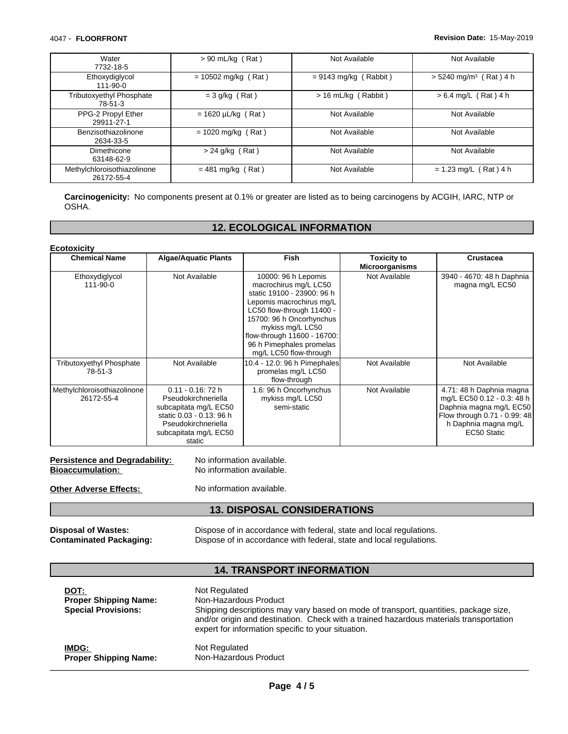**Ecotoxicity**

| Water<br>7732-18-5                        | $> 90$ mL/kg (Rat)      | Not Available           | Not Available                        |
|-------------------------------------------|-------------------------|-------------------------|--------------------------------------|
| Ethoxydiglycol<br>111-90-0                | $= 10502$ mg/kg (Rat)   | $= 9143$ mg/kg (Rabbit) | $> 5240$ mg/m <sup>3</sup> (Rat) 4 h |
| Tributoxyethyl Phosphate<br>78-51-3       | $=$ 3 g/kg (Rat)        | $> 16$ mL/kg (Rabbit)   | $> 6.4$ mg/L (Rat) 4 h               |
| PPG-2 Propyl Ether<br>29911-27-1          | $= 1620 \mu L/kg$ (Rat) | Not Available           | Not Available                        |
| Benzisothiazolinone<br>2634-33-5          | $= 1020$ mg/kg (Rat)    | Not Available           | Not Available                        |
| Dimethicone<br>63148-62-9                 | $> 24$ g/kg (Rat)       | Not Available           | Not Available                        |
| Methylchloroisothiazolinone<br>26172-55-4 | $= 481$ mg/kg (Rat)     | Not Available           | $= 1.23$ mg/L (Rat) 4 h              |

**Carcinogenicity:** No components present at 0.1% or greater are listed as to being carcinogens by ACGIH, IARC, NTP or OSHA.

### **12. ECOLOGICAL INFORMATION**

| <b>Chemical Name</b>                       | <b>Algae/Aquatic Plants</b>                                                                                                                                | Fish                                                                                                                                                                                                                                                                     | Toxicity to<br><b>Microorganisms</b> | <b>Crustacea</b>                                                                                                                                         |
|--------------------------------------------|------------------------------------------------------------------------------------------------------------------------------------------------------------|--------------------------------------------------------------------------------------------------------------------------------------------------------------------------------------------------------------------------------------------------------------------------|--------------------------------------|----------------------------------------------------------------------------------------------------------------------------------------------------------|
| Ethoxydiglycol<br>111-90-0                 | Not Available                                                                                                                                              | 10000: 96 h Lepomis<br>macrochirus mg/L LC50<br>static 19100 - 23900: 96 h<br>Lepomis macrochirus mg/L<br>LC50 flow-through 11400 -<br>15700: 96 h Oncorhynchus<br>mykiss mg/L LC50<br>flow-through 11600 - 16700:<br>96 h Pimephales promelas<br>mg/L LC50 flow-through | Not Available                        | 3940 - 4670: 48 h Daphnia<br>magna mg/L EC50                                                                                                             |
| <b>Tributoxyethyl Phosphate</b><br>78-51-3 | Not Available                                                                                                                                              | 10.4 - 12.0: 96 h Pimephales<br>promelas mg/L LC50<br>flow-through                                                                                                                                                                                                       | Not Available                        | Not Available                                                                                                                                            |
| Methylchloroisothiazolinone<br>26172-55-4  | $0.11 - 0.16$ : 72 h<br>Pseudokirchneriella<br>subcapitata mg/L EC50<br>static 0.03 - 0.13: 96 h<br>Pseudokirchneriella<br>subcapitata mg/L EC50<br>static | 1.6: 96 h Oncorhynchus<br>mykiss mg/L LC50<br>semi-static                                                                                                                                                                                                                | Not Available                        | 4.71: 48 h Daphnia magna<br>mg/L EC50 0.12 - 0.3: 48 h<br>Daphnia magna mg/L EC50<br>Flow through 0.71 - 0.99: 48<br>h Daphnia magna mg/L<br>EC50 Static |

Persistence and Degradability: No information available. **Bioaccumulation:** No information available.

**Other Adverse Effects:** No information available.

### **13. DISPOSAL CONSIDERATIONS**

**Disposal of Wastes:** Dispose of in accordance with federal, state and local regulations.<br>**Contaminated Packaging:** Dispose of in accordance with federal, state and local regulations. Dispose of in accordance with federal, state and local regulations.

#### **14. TRANSPORT INFORMATION**

**DOT:** Not Regulated **Proper Shipping Name:** Non-Hazardous Product **Special Provisions:** Shipping descriptions may vary based on mode of transport, quantities, package size, and/or origin and destination. Check with a trained hazardous materials transportation expert for information specific to your situation. **IMDG: Not Regulated**<br> **Proper Shipping Name:** Non-Hazardous Product **Proper Shipping Name:** Non-Hazardous Product **and the set of the set of the set of the set of the set of the set of the set of the set of the set of the set of the set of the set of the set of the set of the set of the se**